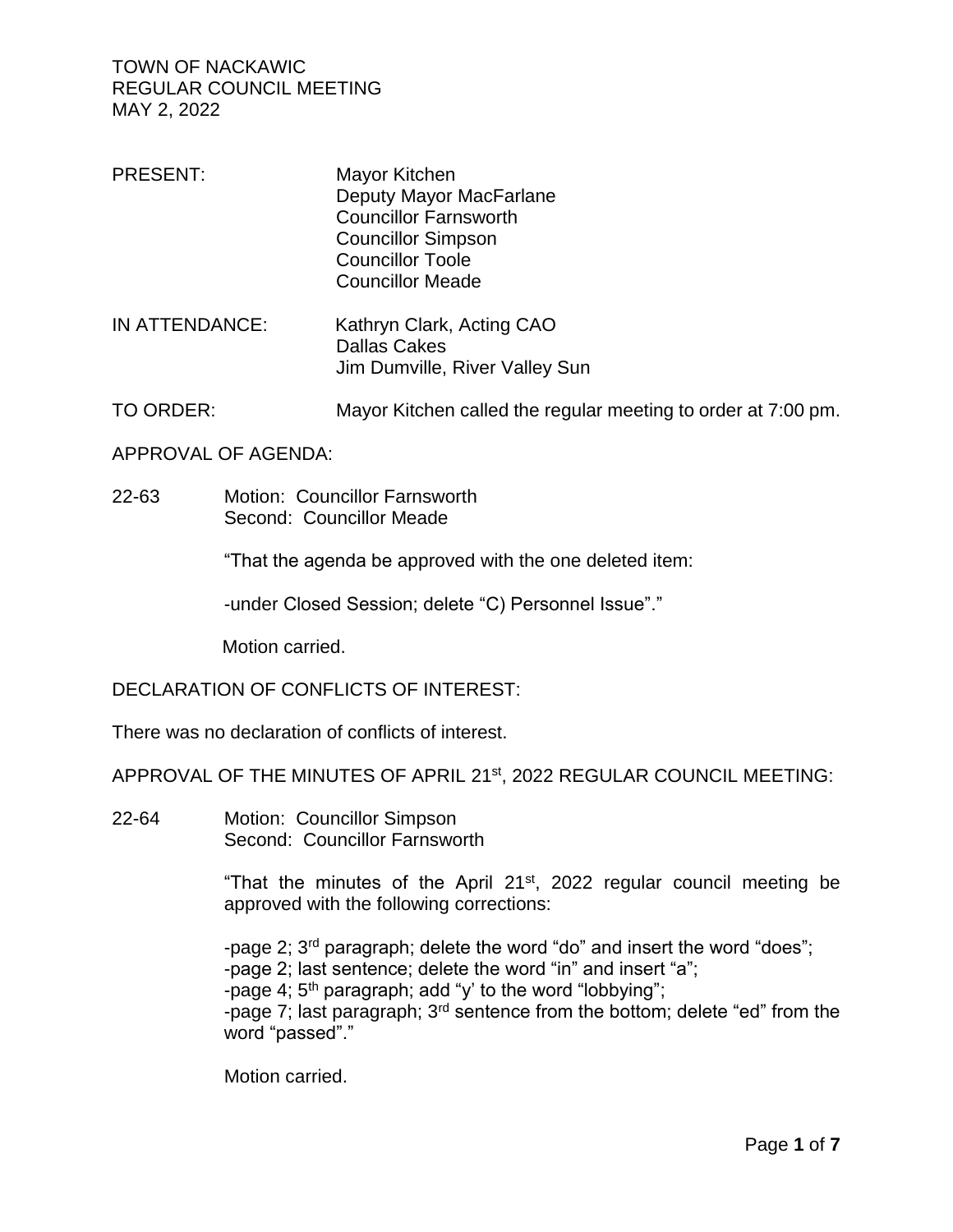| <b>PRESENT:</b> | Mayor Kitchen                  |  |
|-----------------|--------------------------------|--|
|                 | Deputy Mayor MacFarlane        |  |
|                 | <b>Councillor Farnsworth</b>   |  |
|                 | <b>Councillor Simpson</b>      |  |
|                 | <b>Councillor Toole</b>        |  |
|                 | <b>Councillor Meade</b>        |  |
| IN ATTENDANCE:  | Kathryn Clark, Acting CAO      |  |
|                 | <b>Dallas Cakes</b>            |  |
|                 | Jim Dumville, River Valley Sun |  |

TO ORDER: Mayor Kitchen called the regular meeting to order at 7:00 pm.

APPROVAL OF AGENDA:

22-63 Motion: Councillor Farnsworth Second: Councillor Meade

"That the agenda be approved with the one deleted item:

-under Closed Session; delete "C) Personnel Issue"."

Motion carried.

DECLARATION OF CONFLICTS OF INTEREST:

There was no declaration of conflicts of interest.

APPROVAL OF THE MINUTES OF APRIL 21st, 2022 REGULAR COUNCIL MEETING:

22-64 Motion: Councillor Simpson Second: Councillor Farnsworth

> "That the minutes of the April  $21<sup>st</sup>$ , 2022 regular council meeting be approved with the following corrections:

-page 2; 3rd paragraph; delete the word "do" and insert the word "does";

-page 2; last sentence; delete the word "in" and insert "a";

-page 4; 5th paragraph; add "y' to the word "lobbying";

-page 7; last paragraph; 3rd sentence from the bottom; delete "ed" from the word "passed"."

Motion carried.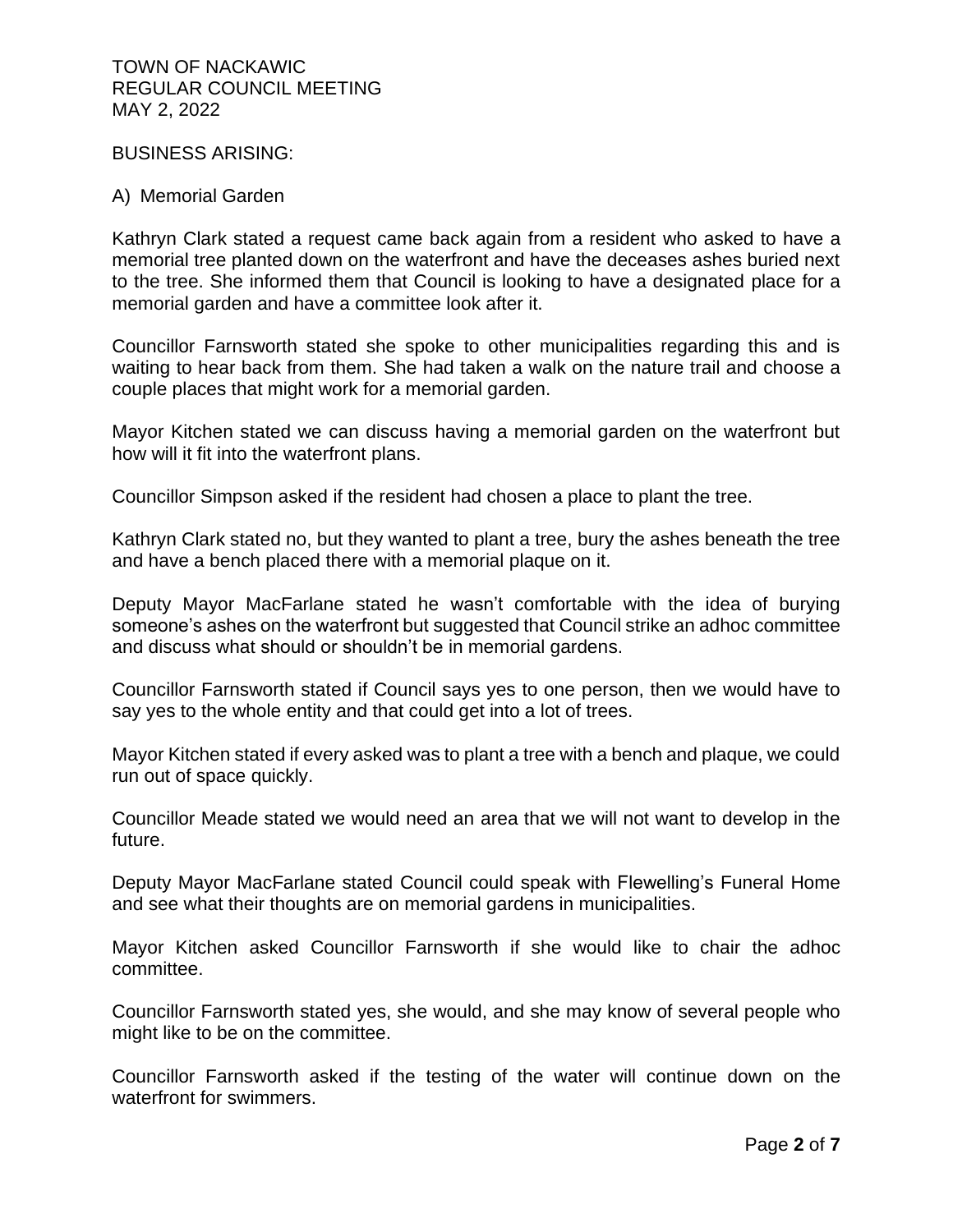BUSINESS ARISING:

### A) Memorial Garden

Kathryn Clark stated a request came back again from a resident who asked to have a memorial tree planted down on the waterfront and have the deceases ashes buried next to the tree. She informed them that Council is looking to have a designated place for a memorial garden and have a committee look after it.

Councillor Farnsworth stated she spoke to other municipalities regarding this and is waiting to hear back from them. She had taken a walk on the nature trail and choose a couple places that might work for a memorial garden.

Mayor Kitchen stated we can discuss having a memorial garden on the waterfront but how will it fit into the waterfront plans.

Councillor Simpson asked if the resident had chosen a place to plant the tree.

Kathryn Clark stated no, but they wanted to plant a tree, bury the ashes beneath the tree and have a bench placed there with a memorial plaque on it.

Deputy Mayor MacFarlane stated he wasn't comfortable with the idea of burying someone's ashes on the waterfront but suggested that Council strike an adhoc committee and discuss what should or shouldn't be in memorial gardens.

Councillor Farnsworth stated if Council says yes to one person, then we would have to say yes to the whole entity and that could get into a lot of trees.

Mayor Kitchen stated if every asked was to plant a tree with a bench and plaque, we could run out of space quickly.

Councillor Meade stated we would need an area that we will not want to develop in the future.

Deputy Mayor MacFarlane stated Council could speak with Flewelling's Funeral Home and see what their thoughts are on memorial gardens in municipalities.

Mayor Kitchen asked Councillor Farnsworth if she would like to chair the adhoc committee.

Councillor Farnsworth stated yes, she would, and she may know of several people who might like to be on the committee.

Councillor Farnsworth asked if the testing of the water will continue down on the waterfront for swimmers.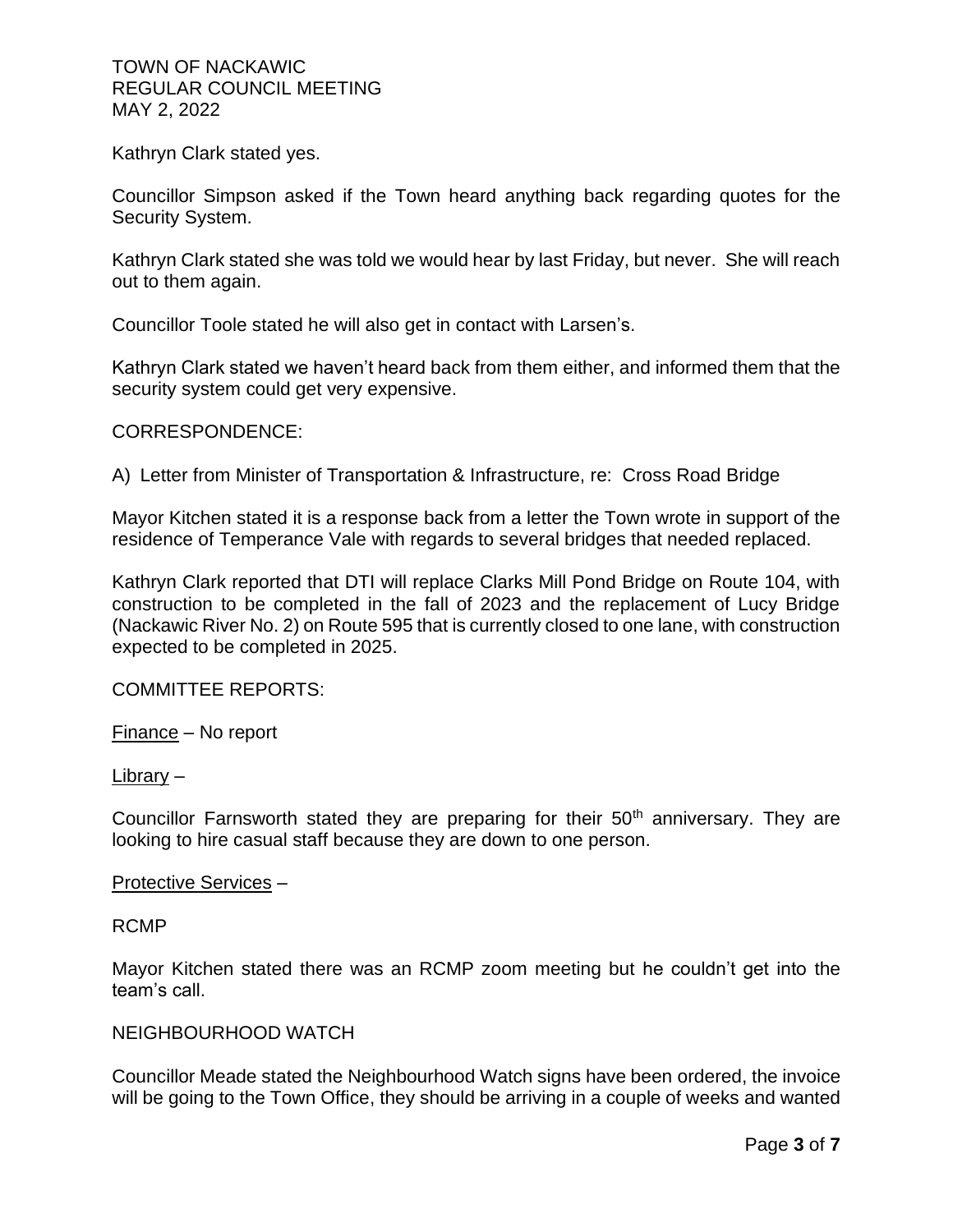Kathryn Clark stated yes.

Councillor Simpson asked if the Town heard anything back regarding quotes for the Security System.

Kathryn Clark stated she was told we would hear by last Friday, but never. She will reach out to them again.

Councillor Toole stated he will also get in contact with Larsen's.

Kathryn Clark stated we haven't heard back from them either, and informed them that the security system could get very expensive.

CORRESPONDENCE:

A) Letter from Minister of Transportation & Infrastructure, re: Cross Road Bridge

Mayor Kitchen stated it is a response back from a letter the Town wrote in support of the residence of Temperance Vale with regards to several bridges that needed replaced.

Kathryn Clark reported that DTI will replace Clarks Mill Pond Bridge on Route 104, with construction to be completed in the fall of 2023 and the replacement of Lucy Bridge (Nackawic River No. 2) on Route 595 that is currently closed to one lane, with construction expected to be completed in 2025.

COMMITTEE REPORTS:

Finance – No report

Library –

Councillor Farnsworth stated they are preparing for their 50<sup>th</sup> anniversary. They are looking to hire casual staff because they are down to one person.

#### Protective Services –

RCMP

Mayor Kitchen stated there was an RCMP zoom meeting but he couldn't get into the team's call.

## NEIGHBOURHOOD WATCH

Councillor Meade stated the Neighbourhood Watch signs have been ordered, the invoice will be going to the Town Office, they should be arriving in a couple of weeks and wanted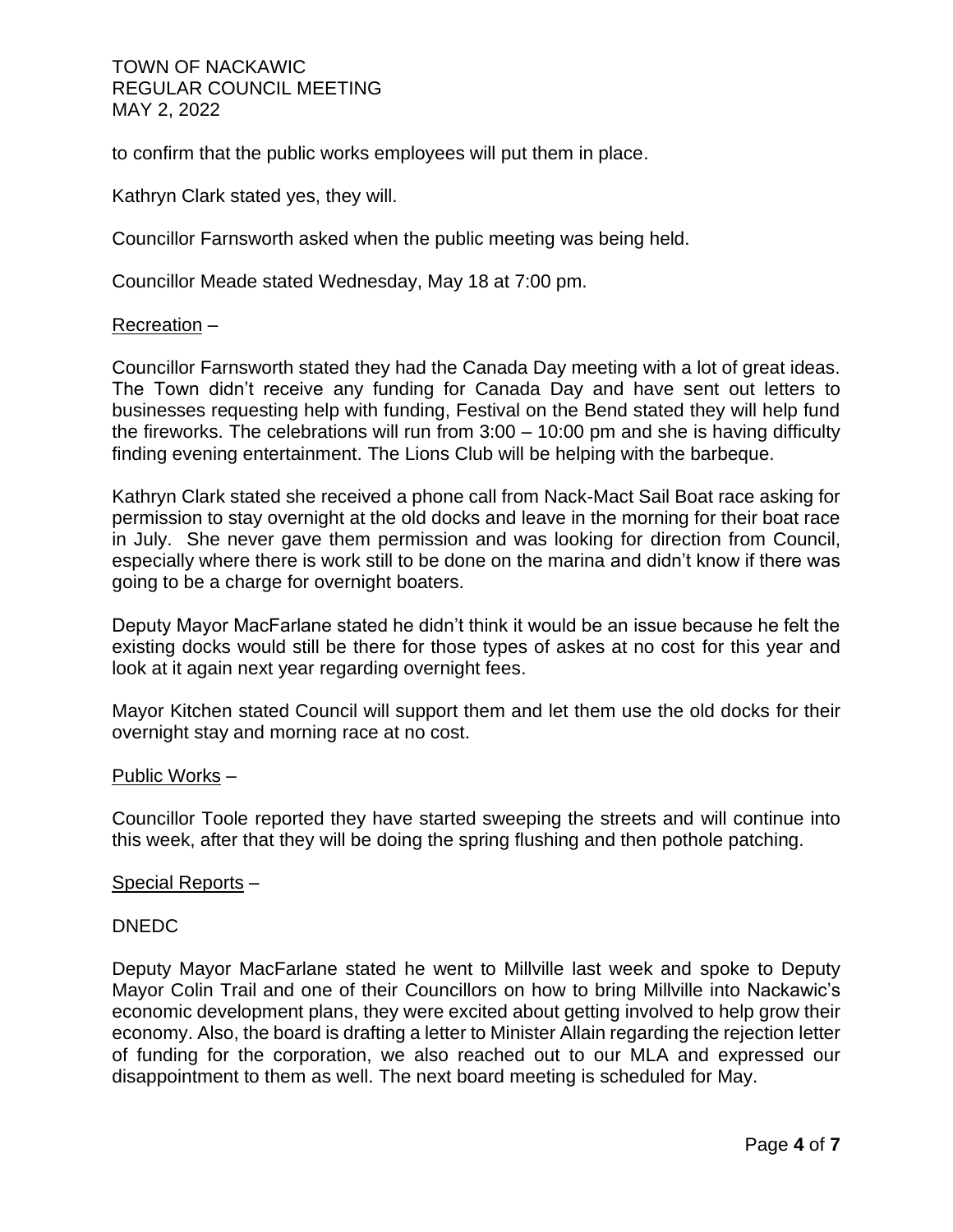to confirm that the public works employees will put them in place.

Kathryn Clark stated yes, they will.

Councillor Farnsworth asked when the public meeting was being held.

Councillor Meade stated Wednesday, May 18 at 7:00 pm.

### Recreation –

Councillor Farnsworth stated they had the Canada Day meeting with a lot of great ideas. The Town didn't receive any funding for Canada Day and have sent out letters to businesses requesting help with funding, Festival on the Bend stated they will help fund the fireworks. The celebrations will run from  $3:00 - 10:00$  pm and she is having difficulty finding evening entertainment. The Lions Club will be helping with the barbeque.

Kathryn Clark stated she received a phone call from Nack-Mact Sail Boat race asking for permission to stay overnight at the old docks and leave in the morning for their boat race in July. She never gave them permission and was looking for direction from Council, especially where there is work still to be done on the marina and didn't know if there was going to be a charge for overnight boaters.

Deputy Mayor MacFarlane stated he didn't think it would be an issue because he felt the existing docks would still be there for those types of askes at no cost for this year and look at it again next year regarding overnight fees.

Mayor Kitchen stated Council will support them and let them use the old docks for their overnight stay and morning race at no cost.

#### Public Works –

Councillor Toole reported they have started sweeping the streets and will continue into this week, after that they will be doing the spring flushing and then pothole patching.

#### Special Reports –

#### DNEDC

Deputy Mayor MacFarlane stated he went to Millville last week and spoke to Deputy Mayor Colin Trail and one of their Councillors on how to bring Millville into Nackawic's economic development plans, they were excited about getting involved to help grow their economy. Also, the board is drafting a letter to Minister Allain regarding the rejection letter of funding for the corporation, we also reached out to our MLA and expressed our disappointment to them as well. The next board meeting is scheduled for May.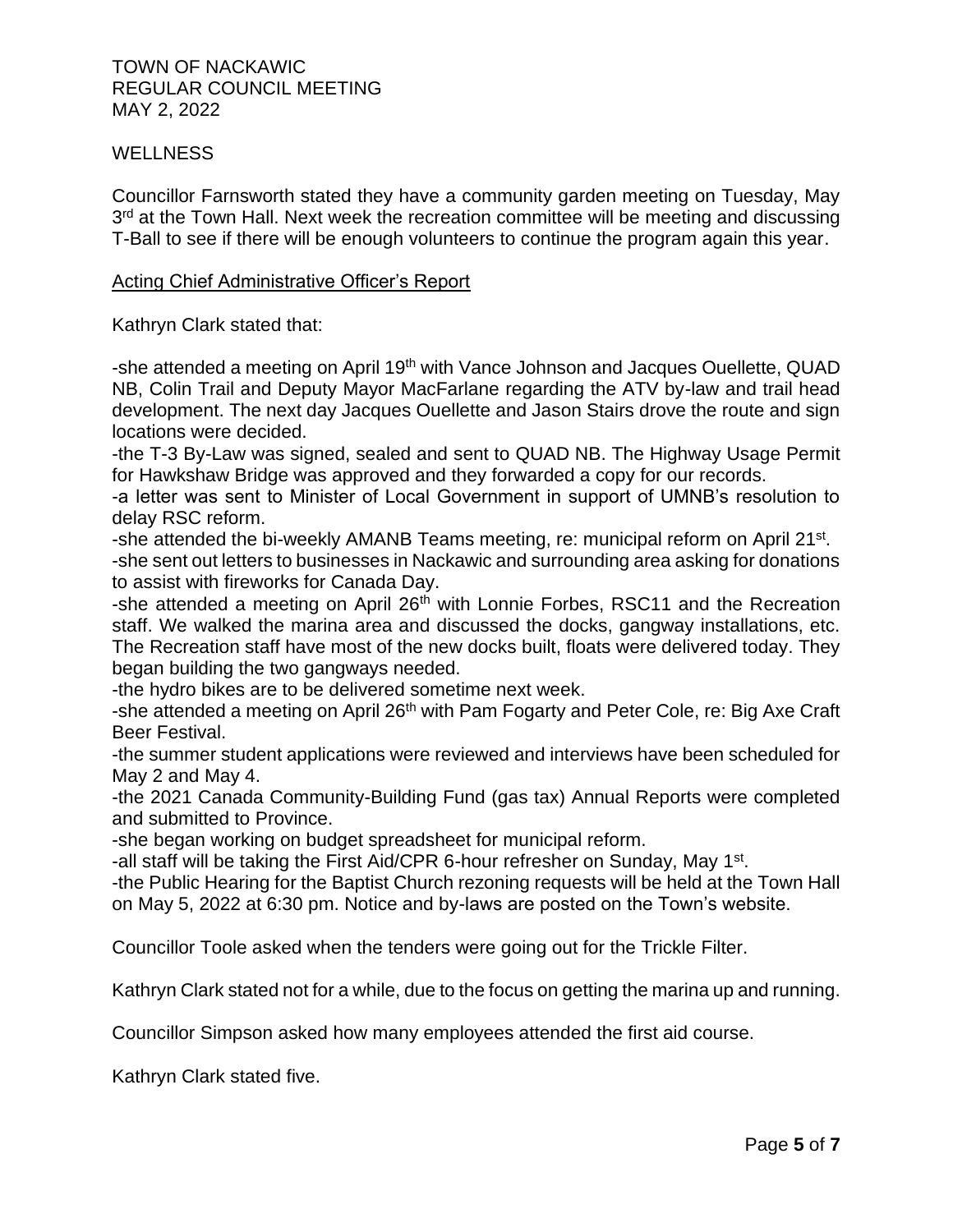## **WELLNESS**

Councillor Farnsworth stated they have a community garden meeting on Tuesday, May 3<sup>rd</sup> at the Town Hall. Next week the recreation committee will be meeting and discussing T-Ball to see if there will be enough volunteers to continue the program again this year.

## Acting Chief Administrative Officer's Report

Kathryn Clark stated that:

-she attended a meeting on April 19th with Vance Johnson and Jacques Ouellette, QUAD NB, Colin Trail and Deputy Mayor MacFarlane regarding the ATV by-law and trail head development. The next day Jacques Ouellette and Jason Stairs drove the route and sign locations were decided.

-the T-3 By-Law was signed, sealed and sent to QUAD NB. The Highway Usage Permit for Hawkshaw Bridge was approved and they forwarded a copy for our records.

-a letter was sent to Minister of Local Government in support of UMNB's resolution to delay RSC reform.

-she attended the bi-weekly AMANB Teams meeting, re: municipal reform on April 21<sup>st</sup>.

-she sent out letters to businesses in Nackawic and surrounding area asking for donations to assist with fireworks for Canada Day.

-she attended a meeting on April 26<sup>th</sup> with Lonnie Forbes, RSC11 and the Recreation staff. We walked the marina area and discussed the docks, gangway installations, etc. The Recreation staff have most of the new docks built, floats were delivered today. They began building the two gangways needed.

-the hydro bikes are to be delivered sometime next week.

-she attended a meeting on April 26<sup>th</sup> with Pam Fogarty and Peter Cole, re: Big Axe Craft Beer Festival.

-the summer student applications were reviewed and interviews have been scheduled for May 2 and May 4.

-the 2021 Canada Community-Building Fund (gas tax) Annual Reports were completed and submitted to Province.

-she began working on budget spreadsheet for municipal reform.

-all staff will be taking the First Aid/CPR 6-hour refresher on Sunday, May 1<sup>st</sup>.

-the Public Hearing for the Baptist Church rezoning requests will be held at the Town Hall on May 5, 2022 at 6:30 pm. Notice and by-laws are posted on the Town's website.

Councillor Toole asked when the tenders were going out for the Trickle Filter.

Kathryn Clark stated not for a while, due to the focus on getting the marina up and running.

Councillor Simpson asked how many employees attended the first aid course.

Kathryn Clark stated five.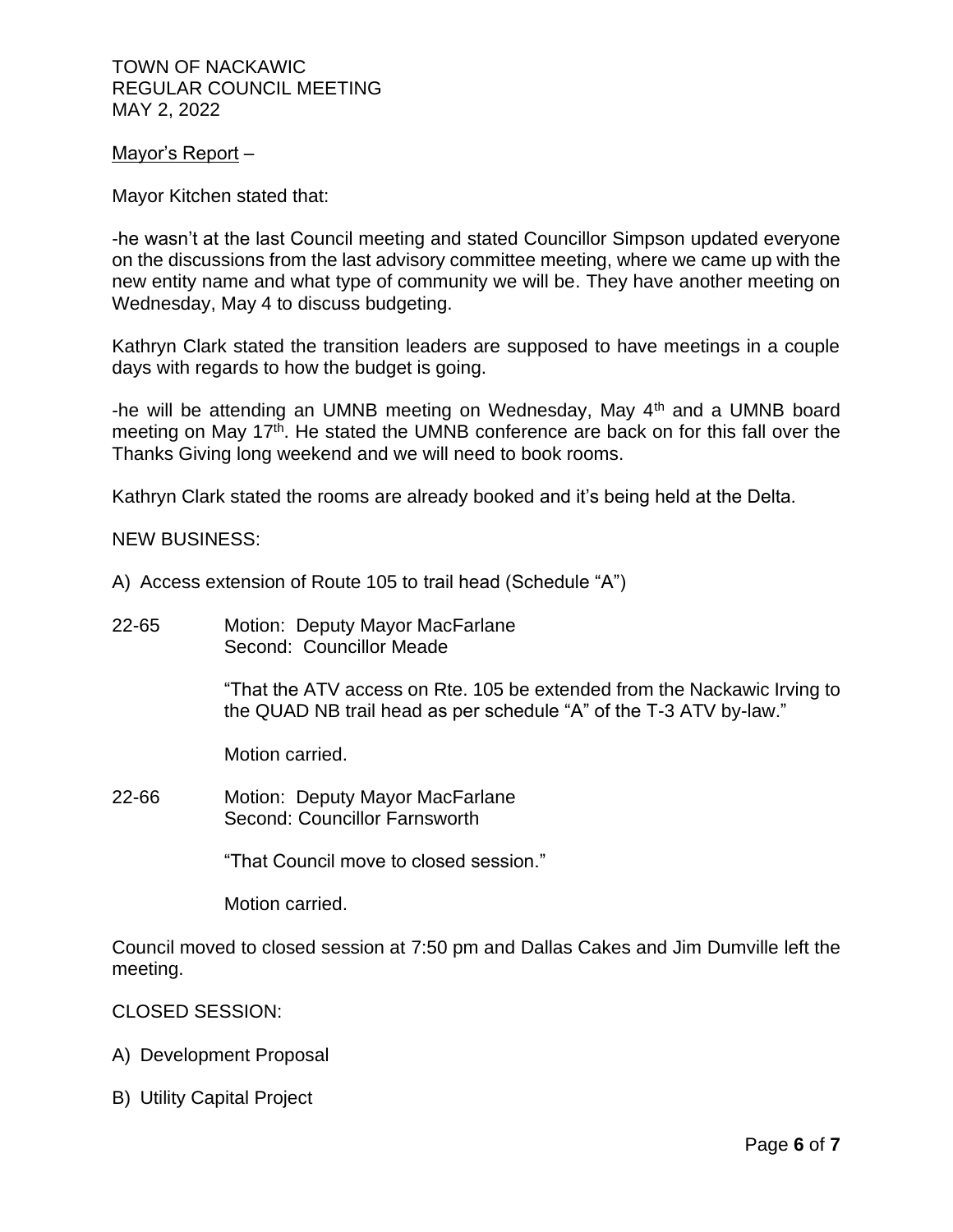## Mayor's Report –

Mayor Kitchen stated that:

-he wasn't at the last Council meeting and stated Councillor Simpson updated everyone on the discussions from the last advisory committee meeting, where we came up with the new entity name and what type of community we will be. They have another meeting on Wednesday, May 4 to discuss budgeting.

Kathryn Clark stated the transition leaders are supposed to have meetings in a couple days with regards to how the budget is going.

-he will be attending an UMNB meeting on Wednesday, May 4<sup>th</sup> and a UMNB board meeting on May 17<sup>th</sup>. He stated the UMNB conference are back on for this fall over the Thanks Giving long weekend and we will need to book rooms.

Kathryn Clark stated the rooms are already booked and it's being held at the Delta.

NEW BUSINESS:

- A) Access extension of Route 105 to trail head (Schedule "A")
- 22-65 Motion: Deputy Mayor MacFarlane Second: Councillor Meade

"That the ATV access on Rte. 105 be extended from the Nackawic Irving to the QUAD NB trail head as per schedule "A" of the T-3 ATV by-law."

Motion carried.

22-66 Motion: Deputy Mayor MacFarlane Second: Councillor Farnsworth

"That Council move to closed session."

Motion carried.

Council moved to closed session at 7:50 pm and Dallas Cakes and Jim Dumville left the meeting.

## CLOSED SESSION:

- A) Development Proposal
- B) Utility Capital Project